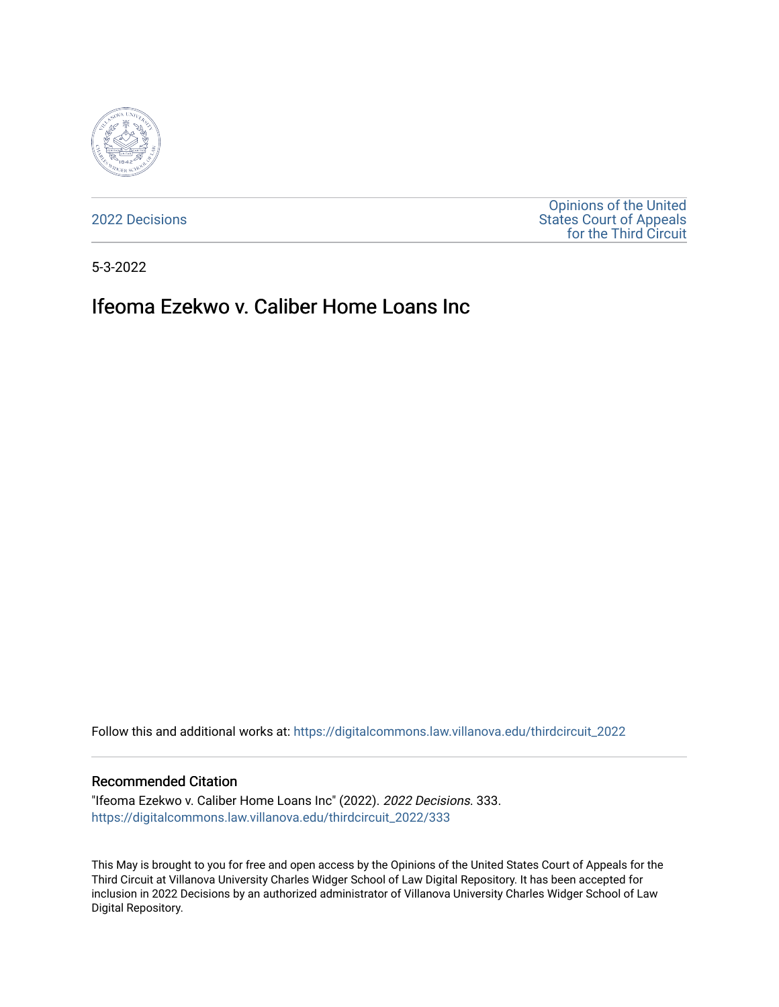

[2022 Decisions](https://digitalcommons.law.villanova.edu/thirdcircuit_2022)

[Opinions of the United](https://digitalcommons.law.villanova.edu/thirdcircuit)  [States Court of Appeals](https://digitalcommons.law.villanova.edu/thirdcircuit)  [for the Third Circuit](https://digitalcommons.law.villanova.edu/thirdcircuit) 

5-3-2022

# Ifeoma Ezekwo v. Caliber Home Loans Inc

Follow this and additional works at: [https://digitalcommons.law.villanova.edu/thirdcircuit\\_2022](https://digitalcommons.law.villanova.edu/thirdcircuit_2022?utm_source=digitalcommons.law.villanova.edu%2Fthirdcircuit_2022%2F333&utm_medium=PDF&utm_campaign=PDFCoverPages) 

#### Recommended Citation

"Ifeoma Ezekwo v. Caliber Home Loans Inc" (2022). 2022 Decisions. 333. [https://digitalcommons.law.villanova.edu/thirdcircuit\\_2022/333](https://digitalcommons.law.villanova.edu/thirdcircuit_2022/333?utm_source=digitalcommons.law.villanova.edu%2Fthirdcircuit_2022%2F333&utm_medium=PDF&utm_campaign=PDFCoverPages)

This May is brought to you for free and open access by the Opinions of the United States Court of Appeals for the Third Circuit at Villanova University Charles Widger School of Law Digital Repository. It has been accepted for inclusion in 2022 Decisions by an authorized administrator of Villanova University Charles Widger School of Law Digital Repository.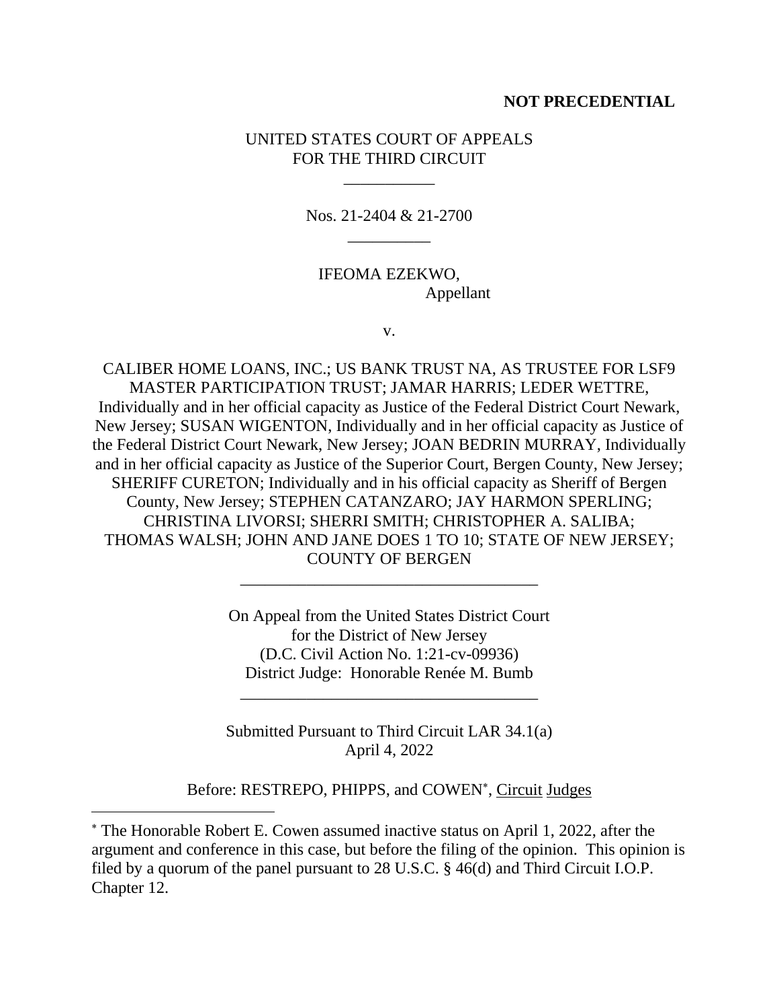## **NOT PRECEDENTIAL**

# UNITED STATES COURT OF APPEALS FOR THE THIRD CIRCUIT

\_\_\_\_\_\_\_\_\_\_\_

Nos. 21-2404 & 21-2700 \_\_\_\_\_\_\_\_\_\_

IFEOMA EZEKWO, Appellant

v.

CALIBER HOME LOANS, INC.; US BANK TRUST NA, AS TRUSTEE FOR LSF9 MASTER PARTICIPATION TRUST; JAMAR HARRIS; LEDER WETTRE, Individually and in her official capacity as Justice of the Federal District Court Newark, New Jersey; SUSAN WIGENTON, Individually and in her official capacity as Justice of the Federal District Court Newark, New Jersey; JOAN BEDRIN MURRAY, Individually and in her official capacity as Justice of the Superior Court, Bergen County, New Jersey; SHERIFF CURETON; Individually and in his official capacity as Sheriff of Bergen County, New Jersey; STEPHEN CATANZARO; JAY HARMON SPERLING; CHRISTINA LIVORSI; SHERRI SMITH; CHRISTOPHER A. SALIBA; THOMAS WALSH; JOHN AND JANE DOES 1 TO 10; STATE OF NEW JERSEY; COUNTY OF BERGEN

> On Appeal from the United States District Court for the District of New Jersey (D.C. Civil Action No. 1:21-cv-09936) District Judge: Honorable Renée M. Bumb

\_\_\_\_\_\_\_\_\_\_\_\_\_\_\_\_\_\_\_\_\_\_\_\_\_\_\_\_\_\_\_\_\_\_\_\_

Submitted Pursuant to Third Circuit LAR 34.1(a) April 4, 2022

\_\_\_\_\_\_\_\_\_\_\_\_\_\_\_\_\_\_\_\_\_\_\_\_\_\_\_\_\_\_\_\_\_\_\_\_

Before: RESTREPO, PHIPPS, and COWEN<sup>\*</sup>, Circuit Judges

The Honorable Robert E. Cowen assumed inactive status on April 1, 2022, after the argument and conference in this case, but before the filing of the opinion. This opinion is filed by a quorum of the panel pursuant to 28 U.S.C. § 46(d) and Third Circuit I.O.P. Chapter 12.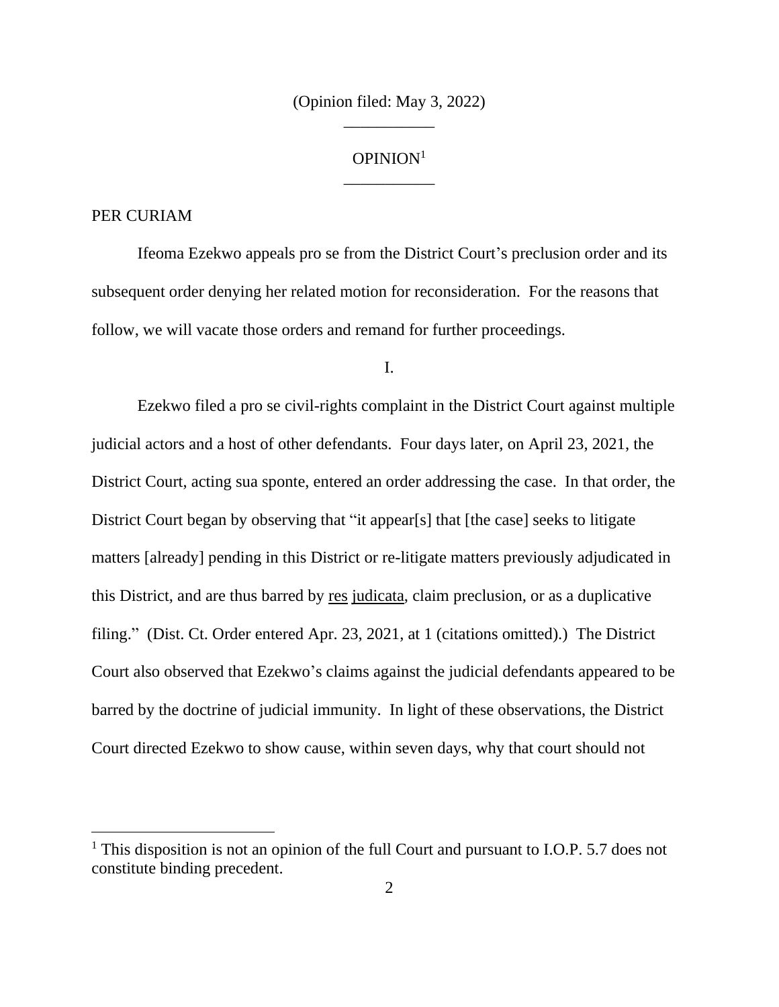(Opinion filed: May 3, 2022) \_\_\_\_\_\_\_\_\_\_\_

# OPINION<sup>1</sup> \_\_\_\_\_\_\_\_\_\_\_

#### PER CURIAM

Ifeoma Ezekwo appeals pro se from the District Court's preclusion order and its subsequent order denying her related motion for reconsideration. For the reasons that follow, we will vacate those orders and remand for further proceedings.

I.

Ezekwo filed a pro se civil-rights complaint in the District Court against multiple judicial actors and a host of other defendants. Four days later, on April 23, 2021, the District Court, acting sua sponte, entered an order addressing the case. In that order, the District Court began by observing that "it appear[s] that [the case] seeks to litigate matters [already] pending in this District or re-litigate matters previously adjudicated in this District, and are thus barred by res judicata, claim preclusion, or as a duplicative filing." (Dist. Ct. Order entered Apr. 23, 2021, at 1 (citations omitted).) The District Court also observed that Ezekwo's claims against the judicial defendants appeared to be barred by the doctrine of judicial immunity. In light of these observations, the District Court directed Ezekwo to show cause, within seven days, why that court should not

 $1$  This disposition is not an opinion of the full Court and pursuant to I.O.P. 5.7 does not constitute binding precedent.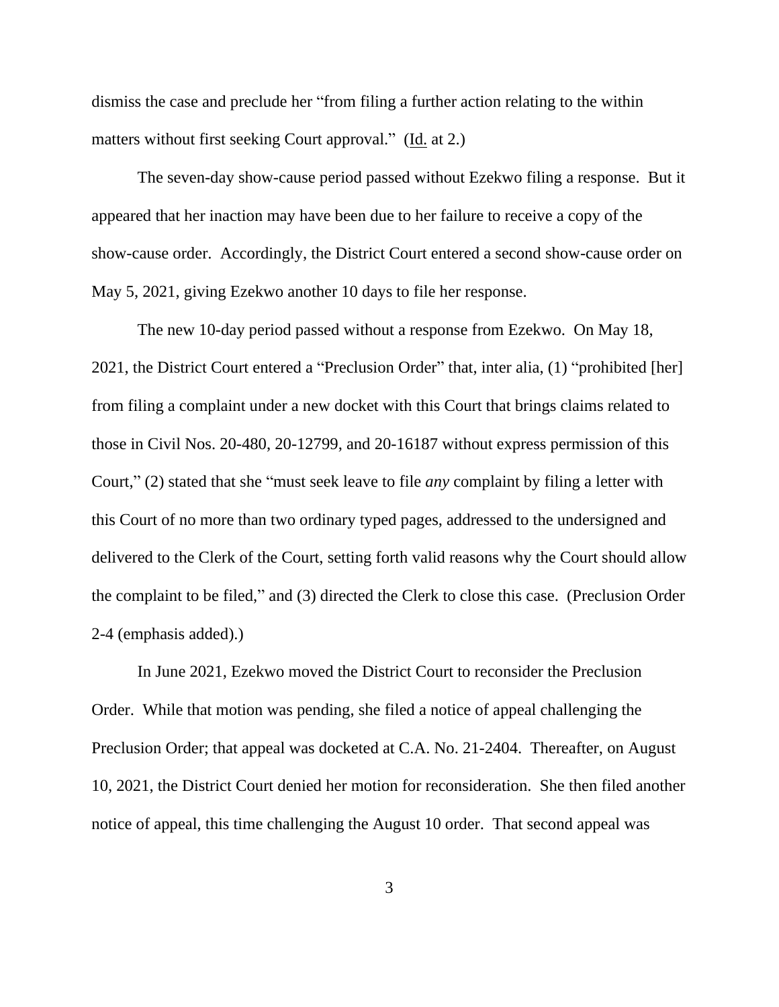dismiss the case and preclude her "from filing a further action relating to the within matters without first seeking Court approval." (Id. at 2.)

The seven-day show-cause period passed without Ezekwo filing a response. But it appeared that her inaction may have been due to her failure to receive a copy of the show-cause order. Accordingly, the District Court entered a second show-cause order on May 5, 2021, giving Ezekwo another 10 days to file her response.

The new 10-day period passed without a response from Ezekwo. On May 18, 2021, the District Court entered a "Preclusion Order" that, inter alia, (1) "prohibited [her] from filing a complaint under a new docket with this Court that brings claims related to those in Civil Nos. 20-480, 20-12799, and 20-16187 without express permission of this Court," (2) stated that she "must seek leave to file *any* complaint by filing a letter with this Court of no more than two ordinary typed pages, addressed to the undersigned and delivered to the Clerk of the Court, setting forth valid reasons why the Court should allow the complaint to be filed," and (3) directed the Clerk to close this case. (Preclusion Order 2-4 (emphasis added).)

In June 2021, Ezekwo moved the District Court to reconsider the Preclusion Order. While that motion was pending, she filed a notice of appeal challenging the Preclusion Order; that appeal was docketed at C.A. No. 21-2404. Thereafter, on August 10, 2021, the District Court denied her motion for reconsideration. She then filed another notice of appeal, this time challenging the August 10 order. That second appeal was

3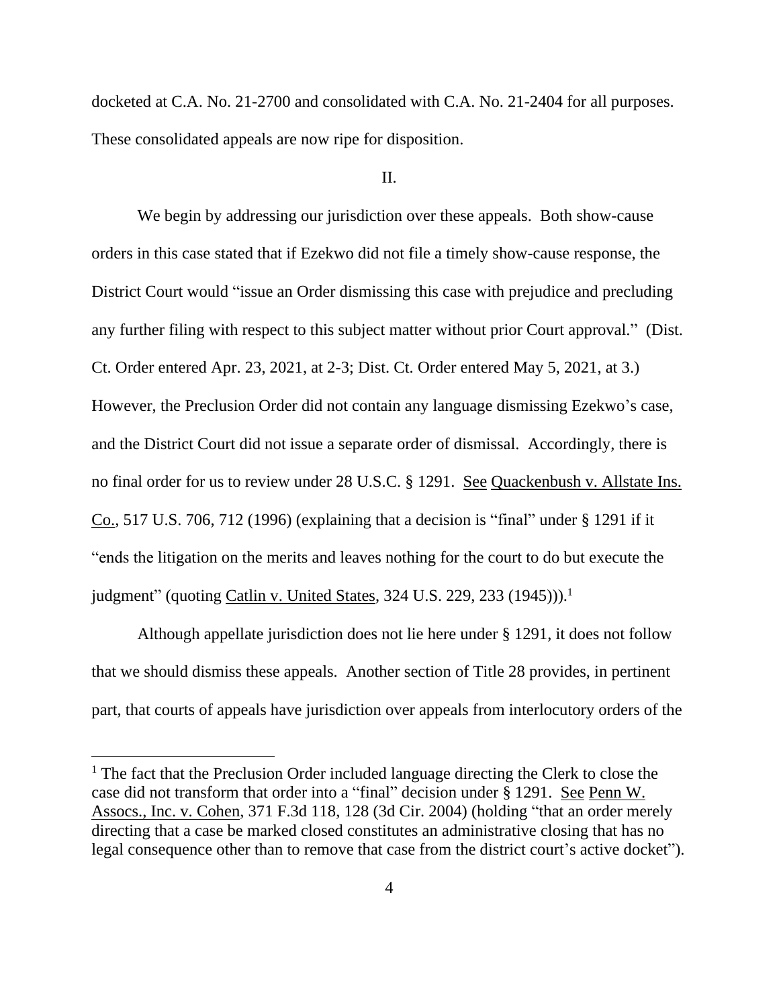docketed at C.A. No. 21-2700 and consolidated with C.A. No. 21-2404 for all purposes. These consolidated appeals are now ripe for disposition.

## II.

We begin by addressing our jurisdiction over these appeals. Both show-cause orders in this case stated that if Ezekwo did not file a timely show-cause response, the District Court would "issue an Order dismissing this case with prejudice and precluding any further filing with respect to this subject matter without prior Court approval." (Dist. Ct. Order entered Apr. 23, 2021, at 2-3; Dist. Ct. Order entered May 5, 2021, at 3.) However, the Preclusion Order did not contain any language dismissing Ezekwo's case, and the District Court did not issue a separate order of dismissal. Accordingly, there is no final order for us to review under 28 U.S.C. § 1291. See Quackenbush v. Allstate Ins.  $Co., 517 U.S. 706, 712 (1996)$  (explaining that a decision is "final" under § 1291 if it "ends the litigation on the merits and leaves nothing for the court to do but execute the judgment" (quoting *Catlin v. United States, 324 U.S. 229, 233* (1945))).<sup>1</sup>

Although appellate jurisdiction does not lie here under § 1291, it does not follow that we should dismiss these appeals. Another section of Title 28 provides, in pertinent part, that courts of appeals have jurisdiction over appeals from interlocutory orders of the

<sup>&</sup>lt;sup>1</sup> The fact that the Preclusion Order included language directing the Clerk to close the case did not transform that order into a "final" decision under § 1291. See Penn W. Assocs., Inc. v. Cohen, 371 F.3d 118, 128 (3d Cir. 2004) (holding "that an order merely directing that a case be marked closed constitutes an administrative closing that has no legal consequence other than to remove that case from the district court's active docket").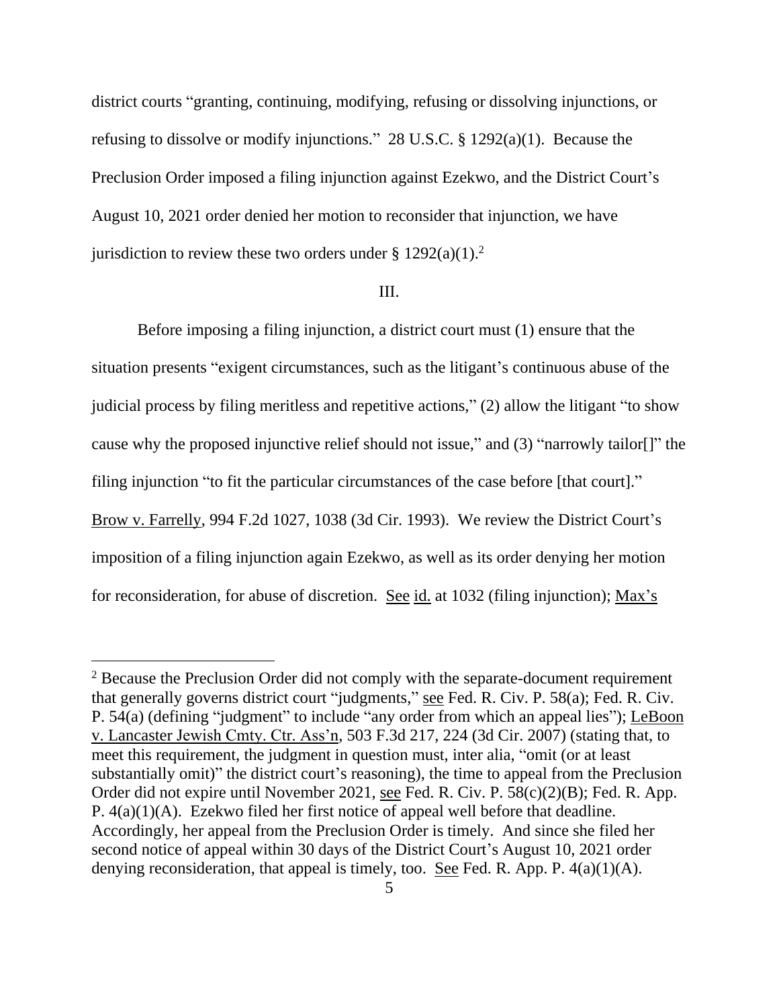district courts "granting, continuing, modifying, refusing or dissolving injunctions, or refusing to dissolve or modify injunctions." 28 U.S.C. § 1292(a)(1). Because the Preclusion Order imposed a filing injunction against Ezekwo, and the District Court's August 10, 2021 order denied her motion to reconsider that injunction, we have jurisdiction to review these two orders under  $\S 1292(a)(1)$ .<sup>2</sup>

## III.

Before imposing a filing injunction, a district court must (1) ensure that the situation presents "exigent circumstances, such as the litigant's continuous abuse of the judicial process by filing meritless and repetitive actions," (2) allow the litigant "to show cause why the proposed injunctive relief should not issue," and (3) "narrowly tailor[]" the filing injunction "to fit the particular circumstances of the case before [that court]." Brow v. Farrelly, 994 F.2d 1027, 1038 (3d Cir. 1993). We review the District Court's imposition of a filing injunction again Ezekwo, as well as its order denying her motion for reconsideration, for abuse of discretion. See id. at 1032 (filing injunction); Max's

<sup>&</sup>lt;sup>2</sup> Because the Preclusion Order did not comply with the separate-document requirement that generally governs district court "judgments," see Fed. R. Civ. P. 58(a); Fed. R. Civ. P. 54(a) (defining "judgment" to include "any order from which an appeal lies"); LeBoon v. Lancaster Jewish Cmty. Ctr. Ass'n, 503 F.3d 217, 224 (3d Cir. 2007) (stating that, to meet this requirement, the judgment in question must, inter alia, "omit (or at least substantially omit)" the district court's reasoning), the time to appeal from the Preclusion Order did not expire until November 2021, see Fed. R. Civ. P. 58(c)(2)(B); Fed. R. App. P. 4(a)(1)(A). Ezekwo filed her first notice of appeal well before that deadline. Accordingly, her appeal from the Preclusion Order is timely. And since she filed her second notice of appeal within 30 days of the District Court's August 10, 2021 order denying reconsideration, that appeal is timely, too. See Fed. R. App. P. 4(a)(1)(A).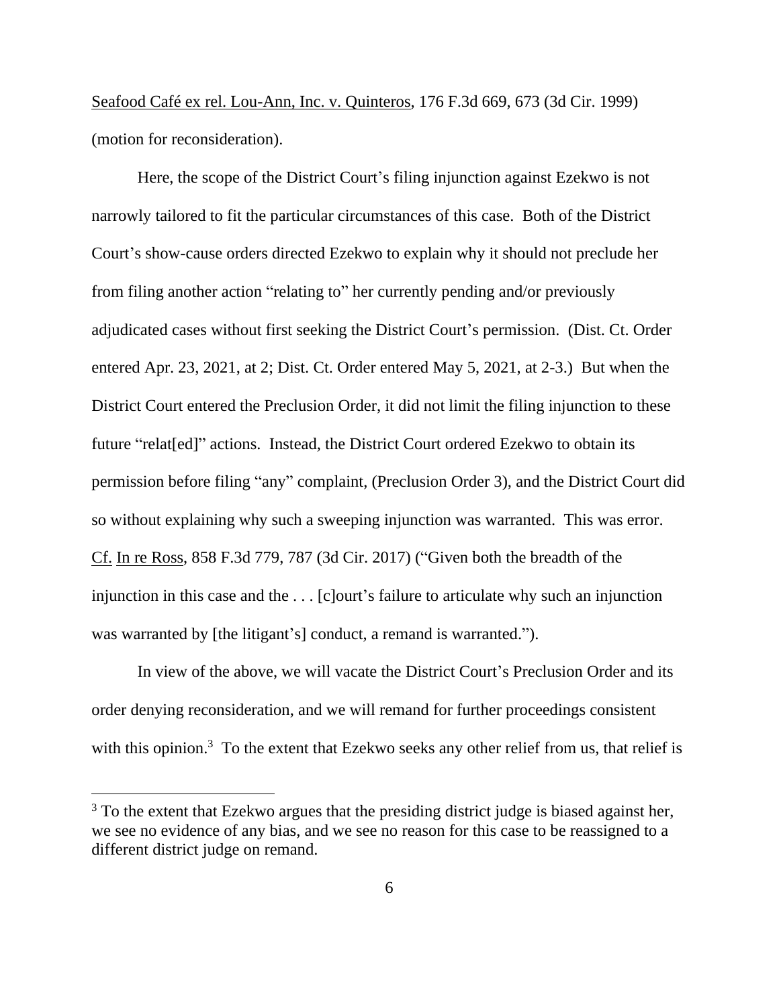Seafood Café ex rel. Lou-Ann, Inc. v. Quinteros, 176 F.3d 669, 673 (3d Cir. 1999) (motion for reconsideration).

Here, the scope of the District Court's filing injunction against Ezekwo is not narrowly tailored to fit the particular circumstances of this case. Both of the District Court's show-cause orders directed Ezekwo to explain why it should not preclude her from filing another action "relating to" her currently pending and/or previously adjudicated cases without first seeking the District Court's permission. (Dist. Ct. Order entered Apr. 23, 2021, at 2; Dist. Ct. Order entered May 5, 2021, at 2-3.) But when the District Court entered the Preclusion Order, it did not limit the filing injunction to these future "relat[ed]" actions. Instead, the District Court ordered Ezekwo to obtain its permission before filing "any" complaint, (Preclusion Order 3), and the District Court did so without explaining why such a sweeping injunction was warranted. This was error. Cf. In re Ross, 858 F.3d 779, 787 (3d Cir. 2017) ("Given both the breadth of the injunction in this case and the . . . [c]ourt's failure to articulate why such an injunction was warranted by [the litigant's] conduct, a remand is warranted.").

In view of the above, we will vacate the District Court's Preclusion Order and its order denying reconsideration, and we will remand for further proceedings consistent with this opinion.<sup>3</sup> To the extent that Ezekwo seeks any other relief from us, that relief is

<sup>&</sup>lt;sup>3</sup> To the extent that Ezekwo argues that the presiding district judge is biased against her, we see no evidence of any bias, and we see no reason for this case to be reassigned to a different district judge on remand.